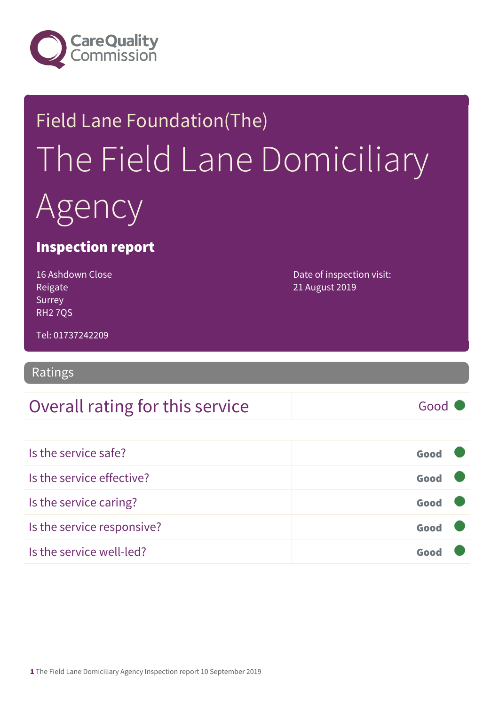

# Field Lane Foundation(The) The Field Lane Domiciliary Agency

### Inspection report

16 Ashdown Close Reigate Surrey RH2 7QS

Date of inspection visit: 21 August 2019

Tel: 01737242209

Ratings

### Overall rating for this service and all the Good

Is the service safe? Good Is the service effective? Good Is the service caring? Good Is the service responsive? Good Is the service well-led? Good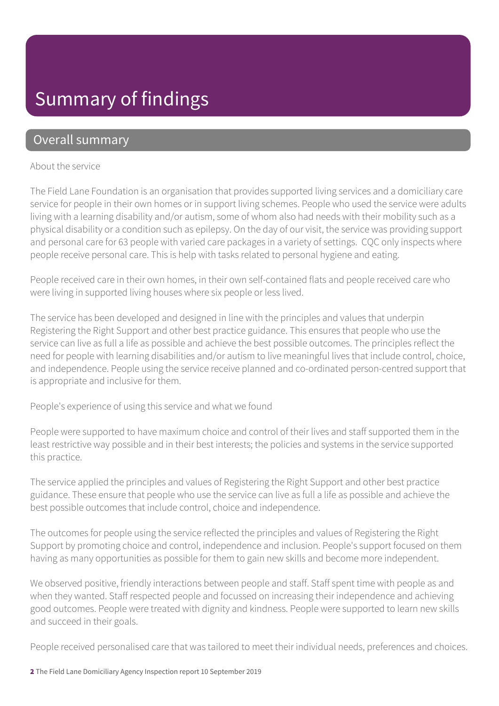### Summary of findings

### Overall summary

#### About the service

The Field Lane Foundation is an organisation that provides supported living services and a domiciliary care service for people in their own homes or in support living schemes. People who used the service were adults living with a learning disability and/or autism, some of whom also had needs with their mobility such as a physical disability or a condition such as epilepsy. On the day of our visit, the service was providing support and personal care for 63 people with varied care packages in a variety of settings. CQC only inspects where people receive personal care. This is help with tasks related to personal hygiene and eating.

People received care in their own homes, in their own self-contained flats and people received care who were living in supported living houses where six people or less lived.

The service has been developed and designed in line with the principles and values that underpin Registering the Right Support and other best practice guidance. This ensures that people who use the service can live as full a life as possible and achieve the best possible outcomes. The principles reflect the need for people with learning disabilities and/or autism to live meaningful lives that include control, choice, and independence. People using the service receive planned and co-ordinated person-centred support that is appropriate and inclusive for them.

People's experience of using this service and what we found

People were supported to have maximum choice and control of their lives and staff supported them in the least restrictive way possible and in their best interests; the policies and systems in the service supported this practice.

The service applied the principles and values of Registering the Right Support and other best practice guidance. These ensure that people who use the service can live as full a life as possible and achieve the best possible outcomes that include control, choice and independence.

The outcomes for people using the service reflected the principles and values of Registering the Right Support by promoting choice and control, independence and inclusion. People's support focused on them having as many opportunities as possible for them to gain new skills and become more independent.

We observed positive, friendly interactions between people and staff. Staff spent time with people as and when they wanted. Staff respected people and focussed on increasing their independence and achieving good outcomes. People were treated with dignity and kindness. People were supported to learn new skills and succeed in their goals.

People received personalised care that was tailored to meet their individual needs, preferences and choices.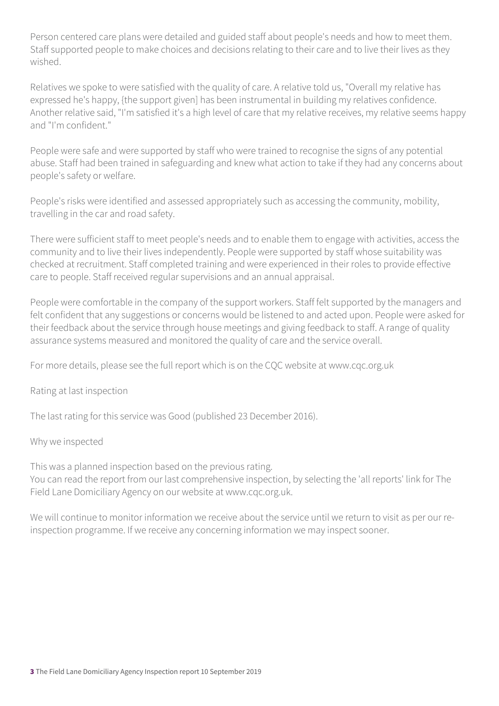Person centered care plans were detailed and guided staff about people's needs and how to meet them. Staff supported people to make choices and decisions relating to their care and to live their lives as they wished.

Relatives we spoke to were satisfied with the quality of care. A relative told us, "Overall my relative has expressed he's happy, {the support given] has been instrumental in building my relatives confidence. Another relative said, "I'm satisfied it's a high level of care that my relative receives, my relative seems happy and "I'm confident."

People were safe and were supported by staff who were trained to recognise the signs of any potential abuse. Staff had been trained in safeguarding and knew what action to take if they had any concerns about people's safety or welfare.

People's risks were identified and assessed appropriately such as accessing the community, mobility, travelling in the car and road safety.

There were sufficient staff to meet people's needs and to enable them to engage with activities, access the community and to live their lives independently. People were supported by staff whose suitability was checked at recruitment. Staff completed training and were experienced in their roles to provide effective care to people. Staff received regular supervisions and an annual appraisal.

People were comfortable in the company of the support workers. Staff felt supported by the managers and felt confident that any suggestions or concerns would be listened to and acted upon. People were asked for their feedback about the service through house meetings and giving feedback to staff. A range of quality assurance systems measured and monitored the quality of care and the service overall.

For more details, please see the full report which is on the CQC website at www.cqc.org.uk

Rating at last inspection

The last rating for this service was Good (published 23 December 2016).

#### Why we inspected

This was a planned inspection based on the previous rating. You can read the report from our last comprehensive inspection, by selecting the 'all reports' link for The Field Lane Domiciliary Agency on our website at www.cqc.org.uk.

We will continue to monitor information we receive about the service until we return to visit as per our reinspection programme. If we receive any concerning information we may inspect sooner.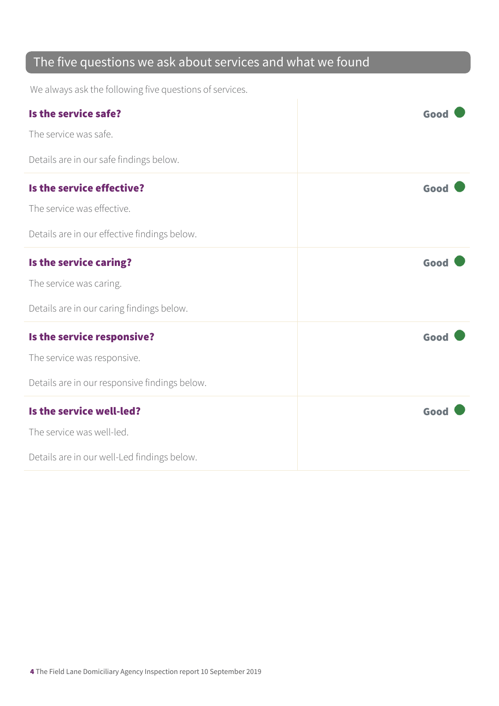### The five questions we ask about services and what we found

We always ask the following five questions of services.

| Is the service safe?                          | Good |
|-----------------------------------------------|------|
| The service was safe.                         |      |
| Details are in our safe findings below.       |      |
| Is the service effective?                     | Good |
| The service was effective.                    |      |
| Details are in our effective findings below.  |      |
| Is the service caring?                        | Good |
| The service was caring.                       |      |
| Details are in our caring findings below.     |      |
| Is the service responsive?                    | Good |
| The service was responsive.                   |      |
| Details are in our responsive findings below. |      |
| Is the service well-led?                      | Good |
| The service was well-led.                     |      |
| Details are in our well-Led findings below.   |      |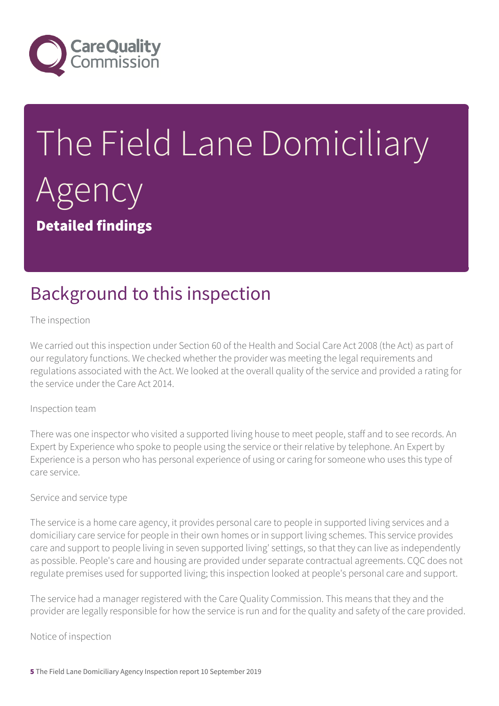

# The Field Lane Domiciliary Agency Detailed findings

### Background to this inspection

The inspection

We carried out this inspection under Section 60 of the Health and Social Care Act 2008 (the Act) as part of our regulatory functions. We checked whether the provider was meeting the legal requirements and regulations associated with the Act. We looked at the overall quality of the service and provided a rating for the service under the Care Act 2014.

#### Inspection team

There was one inspector who visited a supported living house to meet people, staff and to see records. An Expert by Experience who spoke to people using the service or their relative by telephone. An Expert by Experience is a person who has personal experience of using or caring for someone who uses this type of care service.

#### Service and service type

The service is a home care agency, it provides personal care to people in supported living services and a domiciliary care service for people in their own homes or in support living schemes. This service provides care and support to people living in seven supported living' settings, so that they can live as independently as possible. People's care and housing are provided under separate contractual agreements. CQC does not regulate premises used for supported living; this inspection looked at people's personal care and support.

The service had a manager registered with the Care Quality Commission. This means that they and the provider are legally responsible for how the service is run and for the quality and safety of the care provided.

Notice of inspection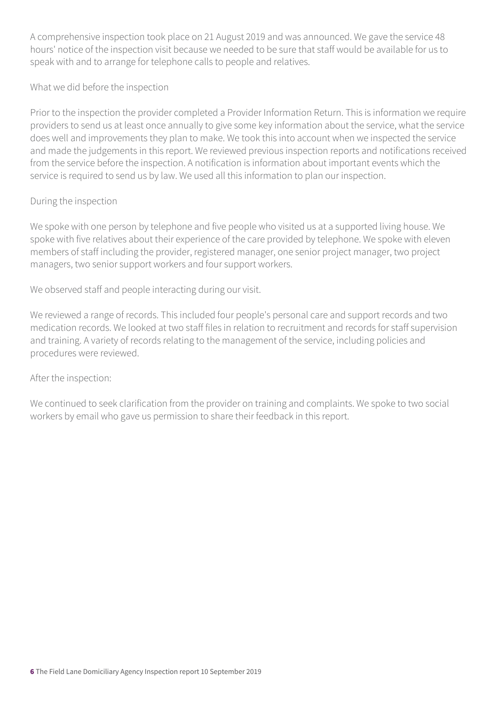A comprehensive inspection took place on 21 August 2019 and was announced. We gave the service 48 hours' notice of the inspection visit because we needed to be sure that staff would be available for us to speak with and to arrange for telephone calls to people and relatives.

What we did before the inspection

Prior to the inspection the provider completed a Provider Information Return. This is information we require providers to send us at least once annually to give some key information about the service, what the service does well and improvements they plan to make. We took this into account when we inspected the service and made the judgements in this report. We reviewed previous inspection reports and notifications received from the service before the inspection. A notification is information about important events which the service is required to send us by law. We used all this information to plan our inspection.

#### During the inspection

We spoke with one person by telephone and five people who visited us at a supported living house. We spoke with five relatives about their experience of the care provided by telephone. We spoke with eleven members of staff including the provider, registered manager, one senior project manager, two project managers, two senior support workers and four support workers.

We observed staff and people interacting during our visit.

We reviewed a range of records. This included four people's personal care and support records and two medication records. We looked at two staff files in relation to recruitment and records for staff supervision and training. A variety of records relating to the management of the service, including policies and procedures were reviewed.

#### After the inspection:

We continued to seek clarification from the provider on training and complaints. We spoke to two social workers by email who gave us permission to share their feedback in this report.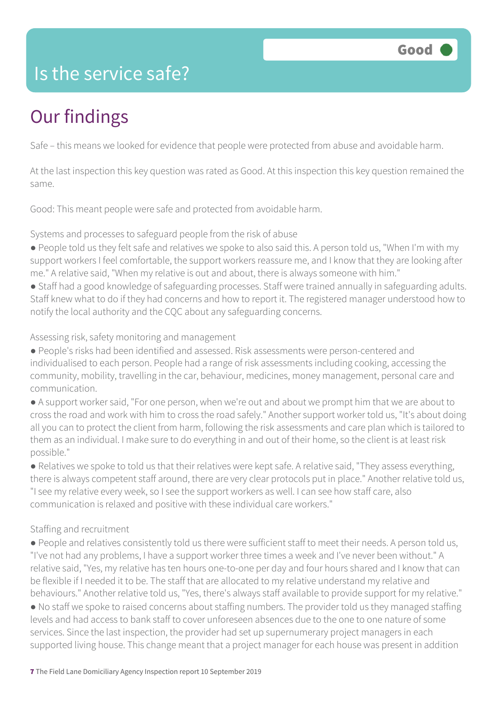### Is the service safe?

# Our findings

Safe – this means we looked for evidence that people were protected from abuse and avoidable harm.

At the last inspection this key question was rated as Good. At this inspection this key question remained the same.

Good: This meant people were safe and protected from avoidable harm.

Systems and processes to safeguard people from the risk of abuse

- People told us they felt safe and relatives we spoke to also said this. A person told us, "When I'm with my support workers I feel comfortable, the support workers reassure me, and I know that they are looking after me." A relative said, "When my relative is out and about, there is always someone with him."
- Staff had a good knowledge of safeguarding processes. Staff were trained annually in safeguarding adults. Staff knew what to do if they had concerns and how to report it. The registered manager understood how to notify the local authority and the CQC about any safeguarding concerns.

Assessing risk, safety monitoring and management

● People's risks had been identified and assessed. Risk assessments were person-centered and individualised to each person. People had a range of risk assessments including cooking, accessing the community, mobility, travelling in the car, behaviour, medicines, money management, personal care and communication.

● A support worker said, "For one person, when we're out and about we prompt him that we are about to cross the road and work with him to cross the road safely." Another support worker told us, "It's about doing all you can to protect the client from harm, following the risk assessments and care plan which is tailored to them as an individual. I make sure to do everything in and out of their home, so the client is at least risk possible."

● Relatives we spoke to told us that their relatives were kept safe. A relative said, "They assess everything, there is always competent staff around, there are very clear protocols put in place." Another relative told us, "I see my relative every week, so I see the support workers as well. I can see how staff care, also communication is relaxed and positive with these individual care workers."

#### Staffing and recruitment

● People and relatives consistently told us there were sufficient staff to meet their needs. A person told us, "I've not had any problems, I have a support worker three times a week and I've never been without." A relative said, "Yes, my relative has ten hours one-to-one per day and four hours shared and I know that can be flexible if I needed it to be. The staff that are allocated to my relative understand my relative and behaviours." Another relative told us, "Yes, there's always staff available to provide support for my relative."

● No staff we spoke to raised concerns about staffing numbers. The provider told us they managed staffing levels and had access to bank staff to cover unforeseen absences due to the one to one nature of some services. Since the last inspection, the provider had set up supernumerary project managers in each supported living house. This change meant that a project manager for each house was present in addition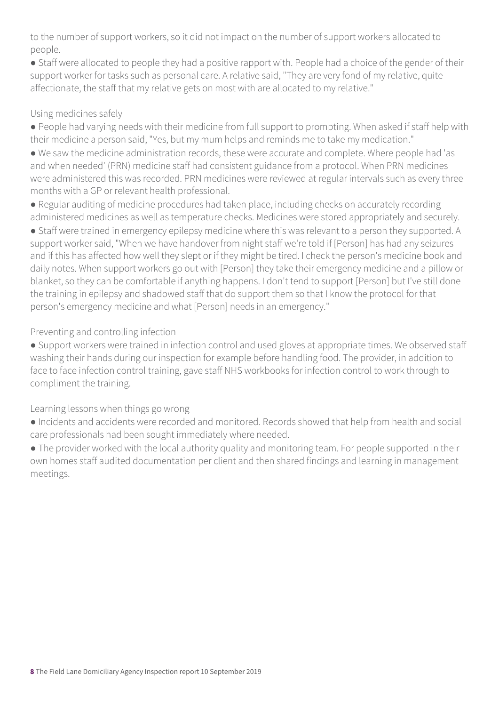to the number of support workers, so it did not impact on the number of support workers allocated to people.

● Staff were allocated to people they had a positive rapport with. People had a choice of the gender of their support worker for tasks such as personal care. A relative said, "They are very fond of my relative, quite affectionate, the staff that my relative gets on most with are allocated to my relative."

#### Using medicines safely

● People had varying needs with their medicine from full support to prompting. When asked if staff help with their medicine a person said, "Yes, but my mum helps and reminds me to take my medication."

● We saw the medicine administration records, these were accurate and complete. Where people had 'as and when needed' (PRN) medicine staff had consistent guidance from a protocol. When PRN medicines were administered this was recorded. PRN medicines were reviewed at regular intervals such as every three months with a GP or relevant health professional.

● Regular auditing of medicine procedures had taken place, including checks on accurately recording administered medicines as well as temperature checks. Medicines were stored appropriately and securely.

● Staff were trained in emergency epilepsy medicine where this was relevant to a person they supported. A support worker said, "When we have handover from night staff we're told if [Person] has had any seizures and if this has affected how well they slept or if they might be tired. I check the person's medicine book and daily notes. When support workers go out with [Person] they take their emergency medicine and a pillow or blanket, so they can be comfortable if anything happens. I don't tend to support [Person] but I've still done the training in epilepsy and shadowed staff that do support them so that I know the protocol for that person's emergency medicine and what [Person] needs in an emergency."

#### Preventing and controlling infection

● Support workers were trained in infection control and used gloves at appropriate times. We observed staff washing their hands during our inspection for example before handling food. The provider, in addition to face to face infection control training, gave staff NHS workbooks for infection control to work through to compliment the training.

#### Learning lessons when things go wrong

● Incidents and accidents were recorded and monitored. Records showed that help from health and social care professionals had been sought immediately where needed.

• The provider worked with the local authority quality and monitoring team. For people supported in their own homes staff audited documentation per client and then shared findings and learning in management meetings.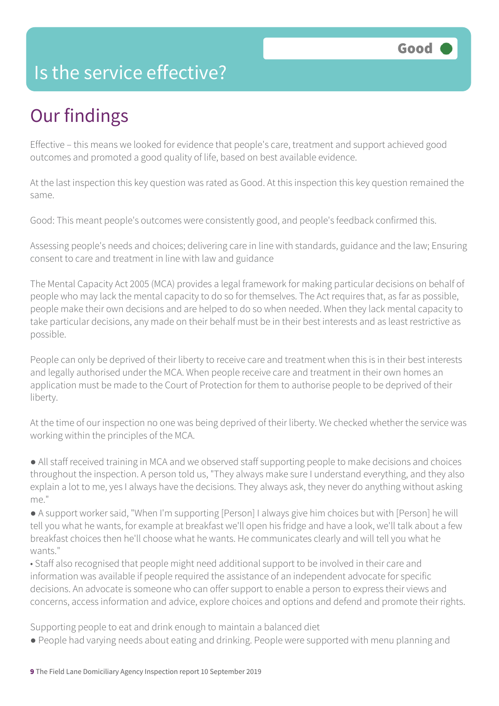### Is the service effective?

# Our findings

Effective – this means we looked for evidence that people's care, treatment and support achieved good outcomes and promoted a good quality of life, based on best available evidence.

At the last inspection this key question was rated as Good. At this inspection this key question remained the same.

Good: This meant people's outcomes were consistently good, and people's feedback confirmed this.

Assessing people's needs and choices; delivering care in line with standards, guidance and the law; Ensuring consent to care and treatment in line with law and guidance

The Mental Capacity Act 2005 (MCA) provides a legal framework for making particular decisions on behalf of people who may lack the mental capacity to do so for themselves. The Act requires that, as far as possible, people make their own decisions and are helped to do so when needed. When they lack mental capacity to take particular decisions, any made on their behalf must be in their best interests and as least restrictive as possible.

People can only be deprived of their liberty to receive care and treatment when this is in their best interests and legally authorised under the MCA. When people receive care and treatment in their own homes an application must be made to the Court of Protection for them to authorise people to be deprived of their liberty.

At the time of our inspection no one was being deprived of their liberty. We checked whether the service was working within the principles of the MCA.

● All staff received training in MCA and we observed staff supporting people to make decisions and choices throughout the inspection. A person told us, "They always make sure I understand everything, and they also explain a lot to me, yes I always have the decisions. They always ask, they never do anything without asking me."

● A support worker said, "When I'm supporting [Person] I always give him choices but with [Person] he will tell you what he wants, for example at breakfast we'll open his fridge and have a look, we'll talk about a few breakfast choices then he'll choose what he wants. He communicates clearly and will tell you what he wants."

• Staff also recognised that people might need additional support to be involved in their care and information was available if people required the assistance of an independent advocate for specific decisions. An advocate is someone who can offer support to enable a person to express their views and concerns, access information and advice, explore choices and options and defend and promote their rights.

Supporting people to eat and drink enough to maintain a balanced diet

● People had varying needs about eating and drinking. People were supported with menu planning and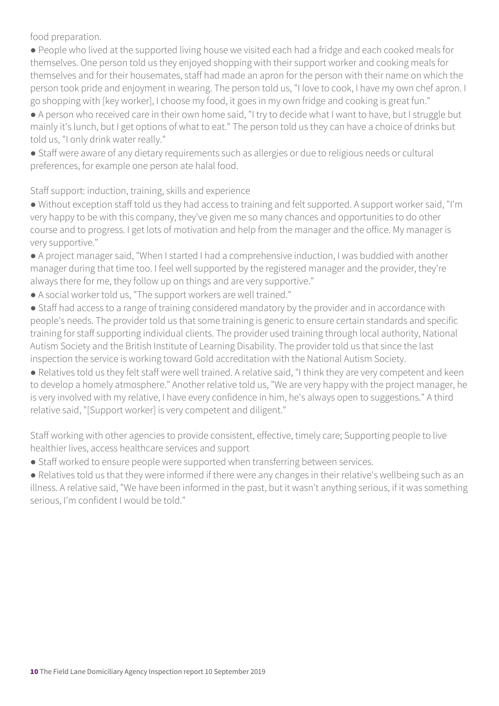food preparation.

● People who lived at the supported living house we visited each had a fridge and each cooked meals for themselves. One person told us they enjoyed shopping with their support worker and cooking meals for themselves and for their housemates, staff had made an apron for the person with their name on which the person took pride and enjoyment in wearing. The person told us, "I love to cook, I have my own chef apron. I go shopping with [key worker], I choose my food, it goes in my own fridge and cooking is great fun."

● A person who received care in their own home said, "I try to decide what I want to have, but I struggle but mainly it's lunch, but I get options of what to eat." The person told us they can have a choice of drinks but told us, "I only drink water really."

● Staff were aware of any dietary requirements such as allergies or due to religious needs or cultural preferences, for example one person ate halal food.

Staff support: induction, training, skills and experience

● Without exception staff told us they had access to training and felt supported. A support worker said, "I'm very happy to be with this company, they've given me so many chances and opportunities to do other course and to progress. I get lots of motivation and help from the manager and the office. My manager is very supportive."

● A project manager said, "When I started I had a comprehensive induction, I was buddied with another manager during that time too. I feel well supported by the registered manager and the provider, they're always there for me, they follow up on things and are very supportive."

- A social worker told us, "The support workers are well trained."
- Staff had access to a range of training considered mandatory by the provider and in accordance with people's needs. The provider told us that some training is generic to ensure certain standards and specific training for staff supporting individual clients. The provider used training through local authority, National Autism Society and the British Institute of Learning Disability. The provider told us that since the last inspection the service is working toward Gold accreditation with the National Autism Society.

● Relatives told us they felt staff were well trained. A relative said, "I think they are very competent and keen to develop a homely atmosphere." Another relative told us, "We are very happy with the project manager, he is very involved with my relative, I have every confidence in him, he's always open to suggestions." A third relative said, "[Support worker] is very competent and diligent."

Staff working with other agencies to provide consistent, effective, timely care; Supporting people to live healthier lives, access healthcare services and support

● Staff worked to ensure people were supported when transferring between services.

● Relatives told us that they were informed if there were any changes in their relative's wellbeing such as an illness. A relative said, "We have been informed in the past, but it wasn't anything serious, if it was something serious, I'm confident I would be told."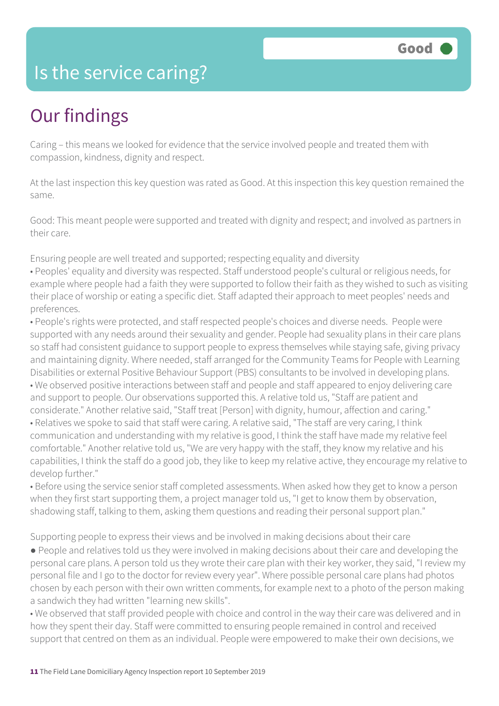### Is the service caring?

### Our findings

Caring – this means we looked for evidence that the service involved people and treated them with compassion, kindness, dignity and respect.

At the last inspection this key question was rated as Good. At this inspection this key question remained the same.

Good: This meant people were supported and treated with dignity and respect; and involved as partners in their care.

Ensuring people are well treated and supported; respecting equality and diversity

• Peoples' equality and diversity was respected. Staff understood people's cultural or religious needs, for example where people had a faith they were supported to follow their faith as they wished to such as visiting their place of worship or eating a specific diet. Staff adapted their approach to meet peoples' needs and preferences.

• People's rights were protected, and staff respected people's choices and diverse needs. People were supported with any needs around their sexuality and gender. People had sexuality plans in their care plans so staff had consistent guidance to support people to express themselves while staying safe, giving privacy and maintaining dignity. Where needed, staff arranged for the Community Teams for People with Learning Disabilities or external Positive Behaviour Support (PBS) consultants to be involved in developing plans. • We observed positive interactions between staff and people and staff appeared to enjoy delivering care and support to people. Our observations supported this. A relative told us, "Staff are patient and considerate." Another relative said, "Staff treat [Person] with dignity, humour, affection and caring." • Relatives we spoke to said that staff were caring. A relative said, "The staff are very caring, I think communication and understanding with my relative is good, I think the staff have made my relative feel comfortable." Another relative told us, "We are very happy with the staff, they know my relative and his capabilities, I think the staff do a good job, they like to keep my relative active, they encourage my relative to develop further."

• Before using the service senior staff completed assessments. When asked how they get to know a person when they first start supporting them, a project manager told us, "I get to know them by observation, shadowing staff, talking to them, asking them questions and reading their personal support plan."

Supporting people to express their views and be involved in making decisions about their care

● People and relatives told us they were involved in making decisions about their care and developing the personal care plans. A person told us they wrote their care plan with their key worker, they said, "I review my personal file and I go to the doctor for review every year". Where possible personal care plans had photos chosen by each person with their own written comments, for example next to a photo of the person making a sandwich they had written "learning new skills".

• We observed that staff provided people with choice and control in the way their care was delivered and in how they spent their day. Staff were committed to ensuring people remained in control and received support that centred on them as an individual. People were empowered to make their own decisions, we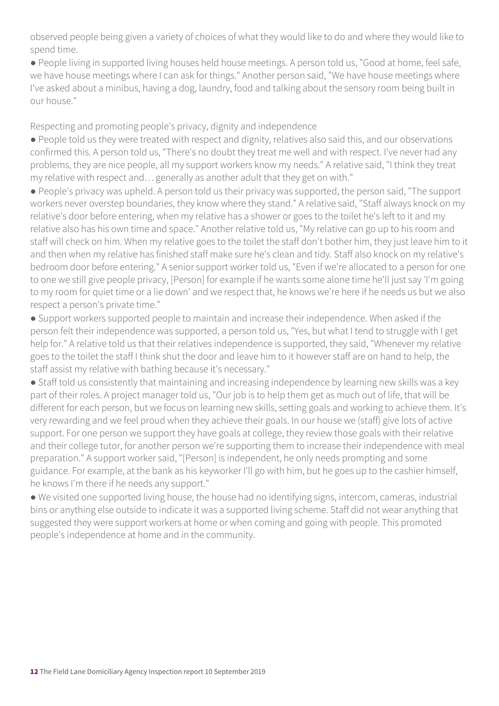observed people being given a variety of choices of what they would like to do and where they would like to spend time.

● People living in supported living houses held house meetings. A person told us, "Good at home, feel safe, we have house meetings where I can ask for things." Another person said, "We have house meetings where I've asked about a minibus, having a dog, laundry, food and talking about the sensory room being built in our house."

Respecting and promoting people's privacy, dignity and independence

● People told us they were treated with respect and dignity, relatives also said this, and our observations confirmed this. A person told us, "There's no doubt they treat me well and with respect. I've never had any problems, they are nice people, all my support workers know my needs." A relative said, "I think they treat my relative with respect and… generally as another adult that they get on with."

● People's privacy was upheld. A person told us their privacy was supported, the person said, "The support workers never overstep boundaries, they know where they stand." A relative said, "Staff always knock on my relative's door before entering, when my relative has a shower or goes to the toilet he's left to it and my relative also has his own time and space." Another relative told us, "My relative can go up to his room and staff will check on him. When my relative goes to the toilet the staff don't bother him, they just leave him to it and then when my relative has finished staff make sure he's clean and tidy. Staff also knock on my relative's bedroom door before entering." A senior support worker told us, "Even if we're allocated to a person for one to one we still give people privacy, [Person] for example if he wants some alone time he'll just say 'I'm going to my room for quiet time or a lie down' and we respect that, he knows we're here if he needs us but we also respect a person's private time."

● Support workers supported people to maintain and increase their independence. When asked if the person felt their independence was supported, a person told us, "Yes, but what I tend to struggle with I get help for." A relative told us that their relatives independence is supported, they said, "Whenever my relative goes to the toilet the staff I think shut the door and leave him to it however staff are on hand to help, the staff assist my relative with bathing because it's necessary."

● Staff told us consistently that maintaining and increasing independence by learning new skills was a key part of their roles. A project manager told us, "Our job is to help them get as much out of life, that will be different for each person, but we focus on learning new skills, setting goals and working to achieve them. It's very rewarding and we feel proud when they achieve their goals. In our house we (staff) give lots of active support. For one person we support they have goals at college, they review those goals with their relative and their college tutor, for another person we're supporting them to increase their independence with meal preparation." A support worker said, "[Person] is independent, he only needs prompting and some guidance. For example, at the bank as his keyworker I'll go with him, but he goes up to the cashier himself, he knows I'm there if he needs any support."

● We visited one supported living house, the house had no identifying signs, intercom, cameras, industrial bins or anything else outside to indicate it was a supported living scheme. Staff did not wear anything that suggested they were support workers at home or when coming and going with people. This promoted people's independence at home and in the community.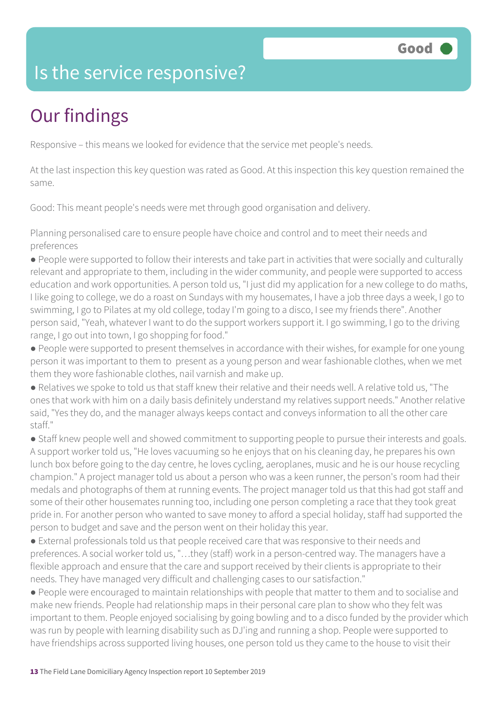### Is the service responsive?

# Our findings

Responsive – this means we looked for evidence that the service met people's needs.

At the last inspection this key question was rated as Good. At this inspection this key question remained the same.

Good: This meant people's needs were met through good organisation and delivery.

Planning personalised care to ensure people have choice and control and to meet their needs and preferences

● People were supported to follow their interests and take part in activities that were socially and culturally relevant and appropriate to them, including in the wider community, and people were supported to access education and work opportunities. A person told us, "I just did my application for a new college to do maths, I like going to college, we do a roast on Sundays with my housemates, I have a job three days a week, I go to swimming, I go to Pilates at my old college, today I'm going to a disco, I see my friends there". Another person said, "Yeah, whatever I want to do the support workers support it. I go swimming, I go to the driving range, I go out into town, I go shopping for food."

● People were supported to present themselves in accordance with their wishes, for example for one young person it was important to them to present as a young person and wear fashionable clothes, when we met them they wore fashionable clothes, nail varnish and make up.

● Relatives we spoke to told us that staff knew their relative and their needs well. A relative told us, "The ones that work with him on a daily basis definitely understand my relatives support needs." Another relative said, "Yes they do, and the manager always keeps contact and conveys information to all the other care staff."

• Staff knew people well and showed commitment to supporting people to pursue their interests and goals. A support worker told us, "He loves vacuuming so he enjoys that on his cleaning day, he prepares his own lunch box before going to the day centre, he loves cycling, aeroplanes, music and he is our house recycling champion." A project manager told us about a person who was a keen runner, the person's room had their medals and photographs of them at running events. The project manager told us that this had got staff and some of their other housemates running too, including one person completing a race that they took great pride in. For another person who wanted to save money to afford a special holiday, staff had supported the person to budget and save and the person went on their holiday this year.

● External professionals told us that people received care that was responsive to their needs and preferences. A social worker told us, "…they (staff) work in a person-centred way. The managers have a flexible approach and ensure that the care and support received by their clients is appropriate to their needs. They have managed very difficult and challenging cases to our satisfaction."

● People were encouraged to maintain relationships with people that matter to them and to socialise and make new friends. People had relationship maps in their personal care plan to show who they felt was important to them. People enjoyed socialising by going bowling and to a disco funded by the provider which was run by people with learning disability such as DJ'ing and running a shop. People were supported to have friendships across supported living houses, one person told us they came to the house to visit their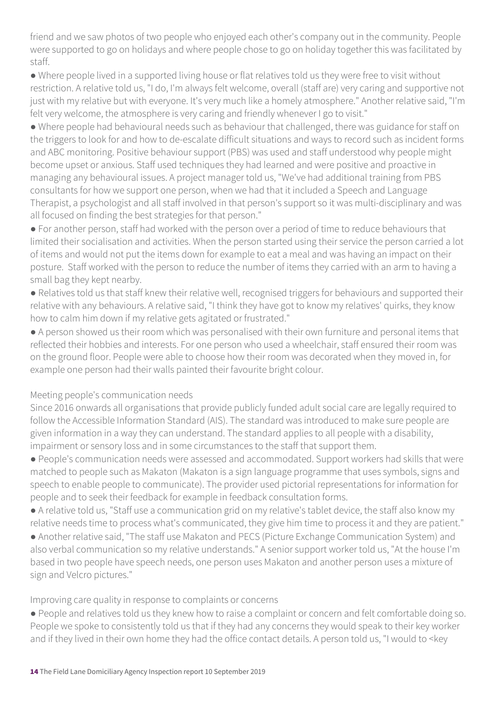friend and we saw photos of two people who enjoyed each other's company out in the community. People were supported to go on holidays and where people chose to go on holiday together this was facilitated by staff.

● Where people lived in a supported living house or flat relatives told us they were free to visit without restriction. A relative told us, "I do, I'm always felt welcome, overall (staff are) very caring and supportive not just with my relative but with everyone. It's very much like a homely atmosphere." Another relative said, "I'm felt very welcome, the atmosphere is very caring and friendly whenever I go to visit."

● Where people had behavioural needs such as behaviour that challenged, there was guidance for staff on the triggers to look for and how to de-escalate difficult situations and ways to record such as incident forms and ABC monitoring. Positive behaviour support (PBS) was used and staff understood why people might become upset or anxious. Staff used techniques they had learned and were positive and proactive in managing any behavioural issues. A project manager told us, "We've had additional training from PBS consultants for how we support one person, when we had that it included a Speech and Language Therapist, a psychologist and all staff involved in that person's support so it was multi-disciplinary and was all focused on finding the best strategies for that person."

● For another person, staff had worked with the person over a period of time to reduce behaviours that limited their socialisation and activities. When the person started using their service the person carried a lot of items and would not put the items down for example to eat a meal and was having an impact on their posture. Staff worked with the person to reduce the number of items they carried with an arm to having a small bag they kept nearby.

● Relatives told us that staff knew their relative well, recognised triggers for behaviours and supported their relative with any behaviours. A relative said, "I think they have got to know my relatives' quirks, they know how to calm him down if my relative gets agitated or frustrated."

● A person showed us their room which was personalised with their own furniture and personal items that reflected their hobbies and interests. For one person who used a wheelchair, staff ensured their room was on the ground floor. People were able to choose how their room was decorated when they moved in, for example one person had their walls painted their favourite bright colour.

#### Meeting people's communication needs

Since 2016 onwards all organisations that provide publicly funded adult social care are legally required to follow the Accessible Information Standard (AIS). The standard was introduced to make sure people are given information in a way they can understand. The standard applies to all people with a disability, impairment or sensory loss and in some circumstances to the staff that support them.

● People's communication needs were assessed and accommodated. Support workers had skills that were matched to people such as Makaton (Makaton is a sign language programme that uses symbols, signs and speech to enable people to communicate). The provider used pictorial representations for information for people and to seek their feedback for example in feedback consultation forms.

● A relative told us, "Staff use a communication grid on my relative's tablet device, the staff also know my relative needs time to process what's communicated, they give him time to process it and they are patient."

● Another relative said, "The staff use Makaton and PECS (Picture Exchange Communication System) and also verbal communication so my relative understands." A senior support worker told us, "At the house I'm based in two people have speech needs, one person uses Makaton and another person uses a mixture of sign and Velcro pictures."

#### Improving care quality in response to complaints or concerns

● People and relatives told us they knew how to raise a complaint or concern and felt comfortable doing so. People we spoke to consistently told us that if they had any concerns they would speak to their key worker and if they lived in their own home they had the office contact details. A person told us, "I would to <key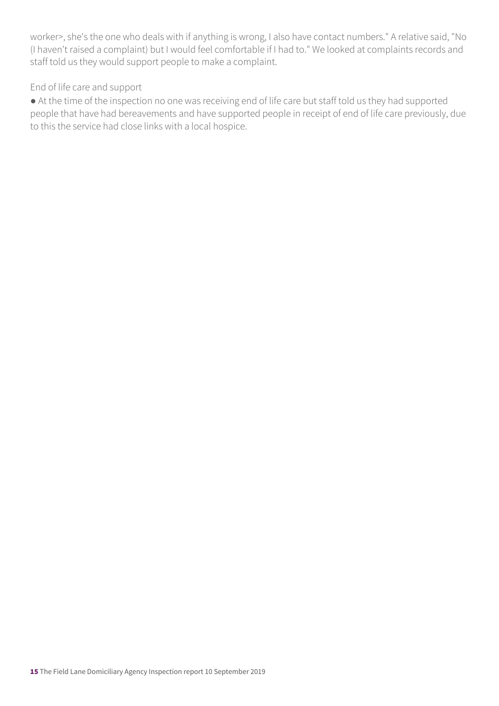worker>, she's the one who deals with if anything is wrong, I also have contact numbers." A relative said, "No (I haven't raised a complaint) but I would feel comfortable if I had to." We looked at complaints records and staff told us they would support people to make a complaint.

#### End of life care and support

● At the time of the inspection no one was receiving end of life care but staff told us they had supported people that have had bereavements and have supported people in receipt of end of life care previously, due to this the service had close links with a local hospice.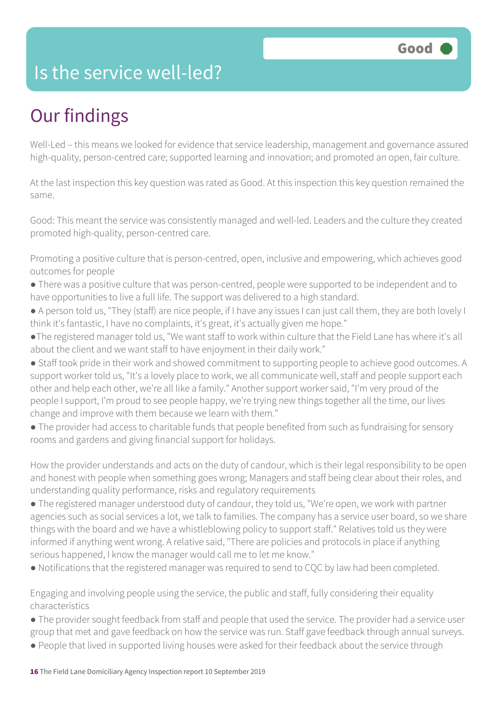### Is the service well-led?

# Our findings

Well-Led – this means we looked for evidence that service leadership, management and governance assured high-quality, person-centred care; supported learning and innovation; and promoted an open, fair culture.

At the last inspection this key question was rated as Good. At this inspection this key question remained the same.

Good: This meant the service was consistently managed and well-led. Leaders and the culture they created promoted high-quality, person-centred care.

Promoting a positive culture that is person-centred, open, inclusive and empowering, which achieves good outcomes for people

- There was a positive culture that was person-centred, people were supported to be independent and to have opportunities to live a full life. The support was delivered to a high standard.
- A person told us, "They (staff) are nice people, if I have any issues I can just call them, they are both lovely I think it's fantastic, I have no complaints, it's great, it's actually given me hope."
- ●The registered manager told us, "We want staff to work within culture that the Field Lane has where it's all about the client and we want staff to have enjoyment in their daily work."
- Staff took pride in their work and showed commitment to supporting people to achieve good outcomes. A support worker told us, "It's a lovely place to work, we all communicate well, staff and people support each other and help each other, we're all like a family." Another support worker said, "I'm very proud of the people I support, I'm proud to see people happy, we're trying new things together all the time, our lives change and improve with them because we learn with them."
- The provider had access to charitable funds that people benefited from such as fundraising for sensory rooms and gardens and giving financial support for holidays.

How the provider understands and acts on the duty of candour, which is their legal responsibility to be open and honest with people when something goes wrong; Managers and staff being clear about their roles, and understanding quality performance, risks and regulatory requirements

- The registered manager understood duty of candour, they told us, "We're open, we work with partner agencies such as social services a lot, we talk to families. The company has a service user board, so we share things with the board and we have a whistleblowing policy to support staff." Relatives told us they were informed if anything went wrong. A relative said, "There are policies and protocols in place if anything serious happened, I know the manager would call me to let me know."
- Notifications that the registered manager was required to send to CQC by law had been completed.

Engaging and involving people using the service, the public and staff, fully considering their equality characteristics

- The provider sought feedback from staff and people that used the service. The provider had a service user group that met and gave feedback on how the service was run. Staff gave feedback through annual surveys.
- People that lived in supported living houses were asked for their feedback about the service through